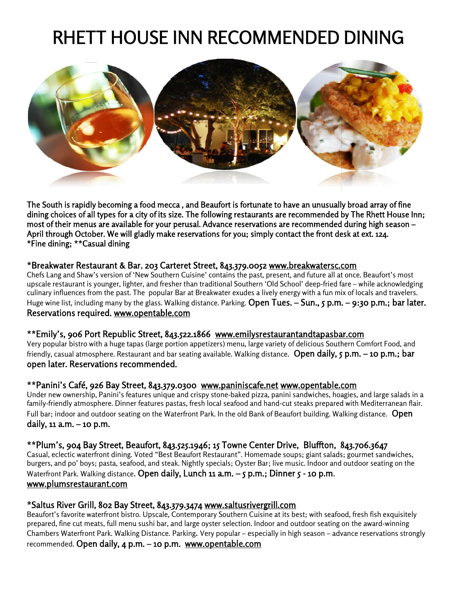# RHETT HOUSE INN RECOMMENDED DINING



**The South is rapidly becoming a food mecca , and Beaufort is fortunate to have an unusually broad array of fine dining choices of all types for a city of its size. The following restaurants are recommended by The Rhett House Inn; most of their menus are available for your perusal. Advance reservations are recommended during high season – April through October. We will gladly make reservations for you; simply contact the front desk at ext. 124. \*Fine dining; \*\*Casual dining** The South is rapidly becoming a food mecca , and Beaufort is fortunate to have an unusually broad array of fine<br>dining choices of all types for a city of its size. The following restaurants are recommended by The Rhett Hou

#### **\*Breakwater Restaurant & Bar**, **203 Carteret Street, 843.379.0052 www.breakwatersc.com Bar**, **203 Carteret Street, 843.379.0052**

Chefs Lang and Shaw's version of 'New Southern Cuisine' contains the past, present, and future all at once. Beaufort's most upscale restaurant is younger, lighter, and fresher than traditional Southern 'Old School' deep-fried fare – while acknowledging culinary influences from the past. The popular Bar at Breakwater exudes a lively energy with a fun mix of locals and travelers. Huge wine list, including many by the glass. Walking distance. Parking. **Open Tues. – Sun., 5 p.m. – 9:30 p.m.; bar later. Reservations required. www.opentable.com** Chefs Lang and Shaw's version of 'New Southern Cuisine' contains the past, present, and future all at once. Bea<br>upscale restaurant is younger, lighter, and fresher than traditional Southern 'Old School' deep-fried fare – w \*Breakwater Restaurant & Bar, 209 Carteret Street Street Street Street Street Line<br>Upscale restaurant is younger, lighter, and fresher fluinter (units the past, present, and fluiter<br>Charlingy limitions (street lange than t

#### **\*\*Emily's, 906 Port Republic Street, 843.522.1866 www.emilysrestaurantandtapasbar.com Port Republic**

Very popular bistro with a huge tapas (large portion appetizers) menu, large variety of delicious Southern Comfort Food, and friendly, casual atmosphere. Restaurant and bar seating available. Walking distance. **Open daily, 5 p.m. – 10 p.m.; bar open later. Reservations recommended.** Very popular bistro with a huge tapas (large portion appetizers) menu, large variety of delicious Southern Comfort<br>friendly, casual atmosphere. Restaurant and bar seating available. Walking distance. **Open daily, 5 p.m.** 

#### **\*\*Panini's Café, 926 Bay Street, 843.379.0300 www.paniniscafe.net www.opentable.com**

Under new ownership, Panini's features unique and crispy stone-baked pizza, panini sandwiches, hoagies, and large salads in a family-friendly atmosphere. Dinner features pastas, fresh local seafood and hand-cut steaks prepared with Mediterranean flair. Full bar; indoor and outdoor seating on the Waterfront Park. In the old Bank of Beaufort building. Walking distance. **Open daily, 11 a.m. – 10 p.m. p.m.** er new ownership, Panini's features unique and crispy stone-baked pizza, panini sandwiches, hoagies, and large<br>ly-friendly atmosphere. Dinner features pastas, fresh local seafood and hand-cut steaks prepared with Mediterr<br>

#### **\*\*Plum's, 904 Bay Street, Beaufort, 843.525.1946; 15 Towne Center Drive, Bluffton, 843.706.3647 Beaufort,**

Casual, eclectic waterfront dining. Voted "Best Beaufort Restaurant". Homemade soups; giant salads; gourmet sandwiches, Casual, eclectic waterfront dining. Voted "Best Beaufort Restaurant". Homemade soups; giant salads; gourmet sandwiches,<br>burgers, and po' boys; pasta, seafood, and steak. Nightly specials; Oyster Bar; live music. Indoor and Waterfront Park. Walking distance. **Open daily, Lunch 11 a.m. – 5 p.m.; Dinner 5 - 10 p.m**. **10** .**www.plumsrestaurant.com**

#### **\*Saltus River Grill, 802 Bay Street, 843.379.3474 www.saltusrivergrill.com**

Beaufort's favorite waterfront bistro. Upscale, Contemporary Southern Cuisine at its best; with seafood, fresh fish exquisitely prepared, fine cut meats, full menu sushi bar, and large oyster selection. Indoor and outdoor seating on the award-winning Chambers Waterfront Park. Walking Distance. Parking. Very popular – especially in high season – advance reservations strongly recommended. **Open daily, 4 p.m. – 10 p.m. www.opentable.com**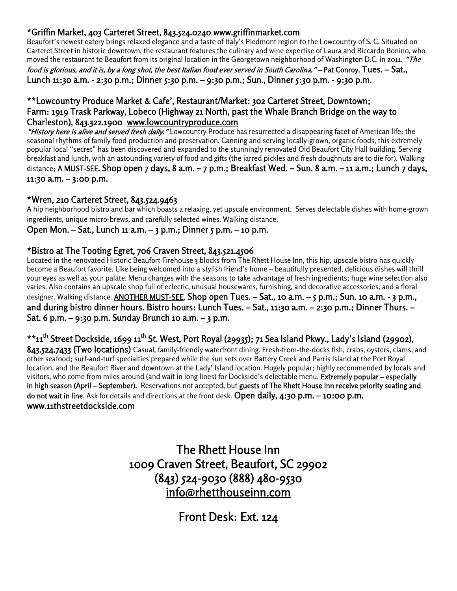# **\*Griffin Market, 403 Carteret Street, 843.524.0240 www.griffinmarket.com**

Beaufort's newest eatery brings relaxed elegance and a taste of Italy's Piedmont region to the Lowcountry of S. C. Situated on Carteret Street in historic downtown, the restaurant features the culinary and wine expertise of Laura and Riccardo Bonino, who moved the restaurant to Beaufort from its original location in the Georgetown neighborhood of Washington D.C. in 2011. *"The*

*food is glorious, and it is, by a long shot, the best Italian food ever served in South Carolina."* **– Pat Conroy. Tues. – Sat., Lunch 11:30 a.m. - 2:30 p.m.; Dinner 5:30 p.m. – 9:30 p.m.; Sun., Dinner 5:30 p.m. - 9:30 p.m.**

#### **\*\*Lowcountry Produce Market & Cafe', Restaurant/Market: 302 Carteret Street, Downtown; Farm: 1919 Trask Parkway, Lobeco (Highway 21 North, past the Whale Branch Bridge on the way to Charleston), 843.322.1900 www.lowcountryproduce.com**

*"History here is alive and served fresh daily."* Lowcountry Produce has resurrected a disappearing facet of American life: the seasonal rhythms of family food production and preservation. Canning and serving locally-grown, organic foods, this extremely popular local "secret" has been discovered and expanded to the stunningly renovated Old Beaufort City Hall building. Serving breakfast and lunch, with an astounding variety of food and gifts (the jarred pickles and fresh doughnuts are to die for). Walking distance; **A MUST-SEE. Shop open 7 days, 8 a.m. – 7 p.m.; Breakfast Wed. – Sun. 8 a.m. – 11 a.m.; Lunch 7 days, 11:30 a.m. – 3:00 p.m.**

#### **\*Wren, 210 Carteret Street, 843.524.9463**

A hip neighborhood bistro and bar which boasts a relaxing, yet upscale environment. Serves delectable dishes with home-grown ingredients, unique micro-brews, and carefully selected wines. Walking distance.

#### **Open Mon. – Sat., Lunch 11 a.m. – 3 p.m.; Dinner 5 p.m. – 10 p.m.**

#### **\*Bistro at The Tooting Egret, 706 Craven Street, 843.521.4506**

Located in the renovated Historic Beaufort Firehouse 3 blocks from The Rhett House Inn, this hip, upscale bistro has quickly become a Beaufort favorite. Like being welcomed into a stylish friend's home – beautifully presented, delicious dishes will thrill your eyes as well as your palate. Menu changes with the seasons to take advantage of fresh ingredients; huge wine selection also varies. Also contains an upscale shop full of eclectic, unusual housewares, furnishing, and decorative accessories, and a floral designer. Walking distance. **ANOTHER MUST-SEE. Shop open Tues. – Sat., 10 a.m. – 5 p.m.; Sun. 10 a.m. - 3 p.m., and during bistro dinner hours. Bistro hours: Lunch Tues. – Sat., 11:30 a.m. – 2:30 p.m.; Dinner Thurs. – Sat. 6 p.m. – 9:30 p.m. Sunday Brunch 10 a.m. – 3 p.m.**

# **\*\*11th Street Dockside, 1699 11th St. West, Port Royal (29935); 71 Sea Island Pkwy., Lady's Island (29902),**

**843.524.7433 (Two locations)** Casual, family-friendly waterfront dining. Fresh-from-the-docks fish, crabs, oysters, clams, and other seafood; surf-and-turf specialties prepared while the sun sets over Battery Creek and Parris Island at the Port Royal location, and the Beaufort River and downtown at the Lady' Island location. Hugely popular; highly recommended by locals and visitors, who come from miles around (and wait in long lines) for Dockside's delectable menu. **Extremely popular – especially in high season (April – September).** Reservations not accepted, but **guests of The Rhett House Inn receive priority seating and do not wait in line**. Ask for details and directions at the front desk. **Open daily, 4:30 p.m. – 10:00 p.m. www.11thstreetdockside.com**

> **The Rhett House Inn 1009 Craven Street, Beaufort, SC 29902 (843) 524-9030 (888) 480-9530 info@rhetthouseinn.com**

> > **Front Desk: Ext. 124**